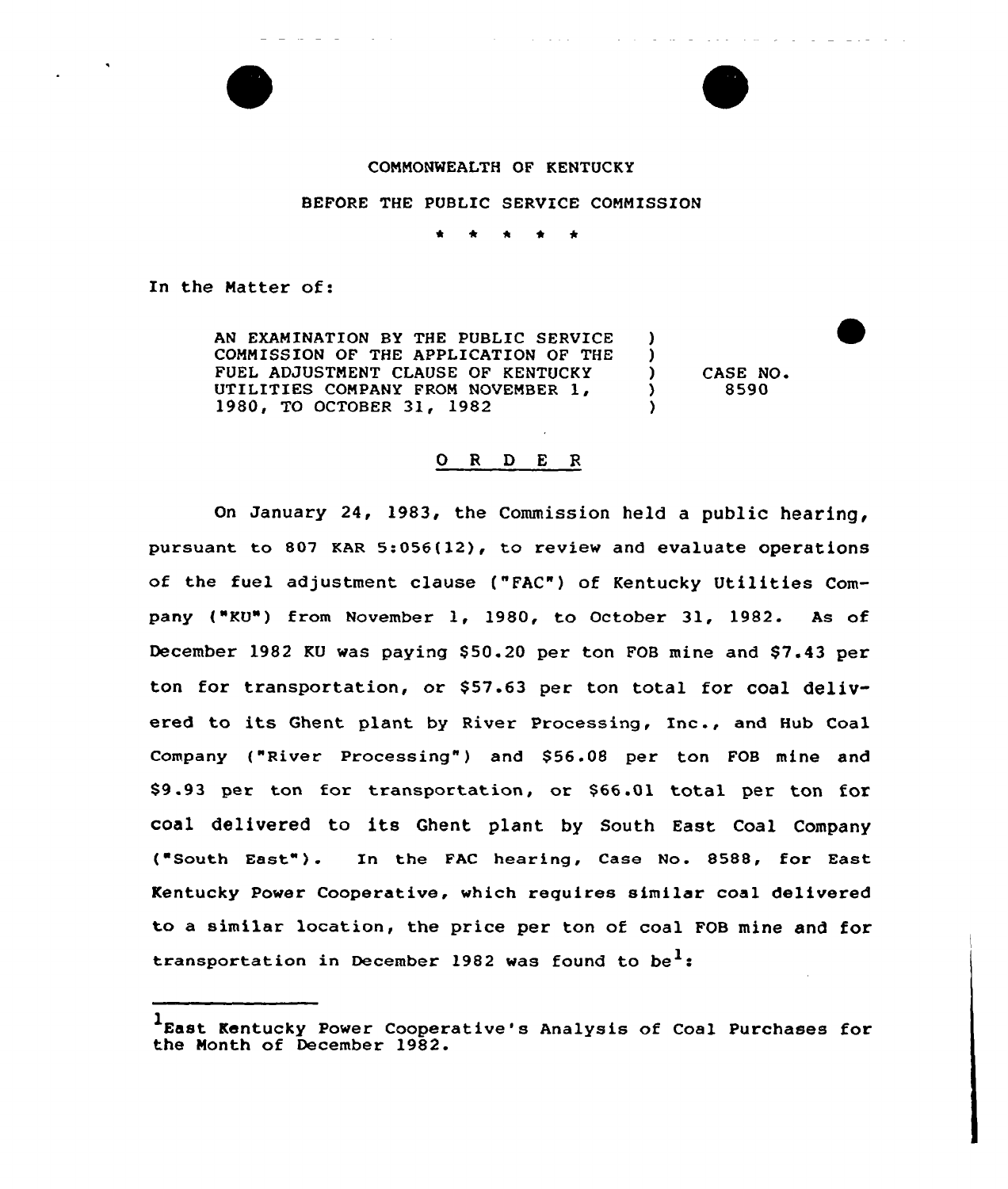

## COMMONWEALTH OF KENTUCKY

BEFORE THE PUBLIC SERVICE COMMISSION

\* \* \* \*

In the Natter of:

AN EXAMINATION BY THE PUBLIC SERVICE COMMISSION OF THE APPLICATION OF THE FUEL ADJVSTNENT CLAUSE OF KENTUCKY UTILITIES COMPANY FROM NOVEMBER 1, 1980, TO OCTOBER 31, 1982

 $\begin{array}{cc} \text{O} & \text{CASE NO.} \\ \text{O} & \text{S590} \end{array}$ ) 8590

) )

)

#### O R D E R

On January 24, 1983, the Commission held a public hearing, pursuant to 807 KAR 5:056(12), to review and evaluate operations of the fuel adjustment clause ("FAC") of Kentucky Utilities Company ("KU") from November 1, 1980, to October 31, 1982. As of December 1982 KU was paying \$50.20 per ton FOB mine and \$7.43 per ton for transportation, cr \$57.63 per ton total for coal delivered to its Ghent plant by River Processing, Inc., and Hub Coal Company ("River Processing") and \$56.08 per ton FOB mine and 89 .93 per ton for transportation, or \$66 .Ol total per ton for coal delivered to its Ghent plant by South East Coal Company ("South East"). In the FAC hearing, Case No. 8588, for East Kentucky Power Cooperative, which requires similar coal delivered to a similar location, the price per ton of coal FOB mine and for transportation in December 1982 was found to be<sup>1</sup>:

<sup>1</sup>East. Kentucky Power Cooperative's Analysis of Coal Purchases for the Month of December 1982.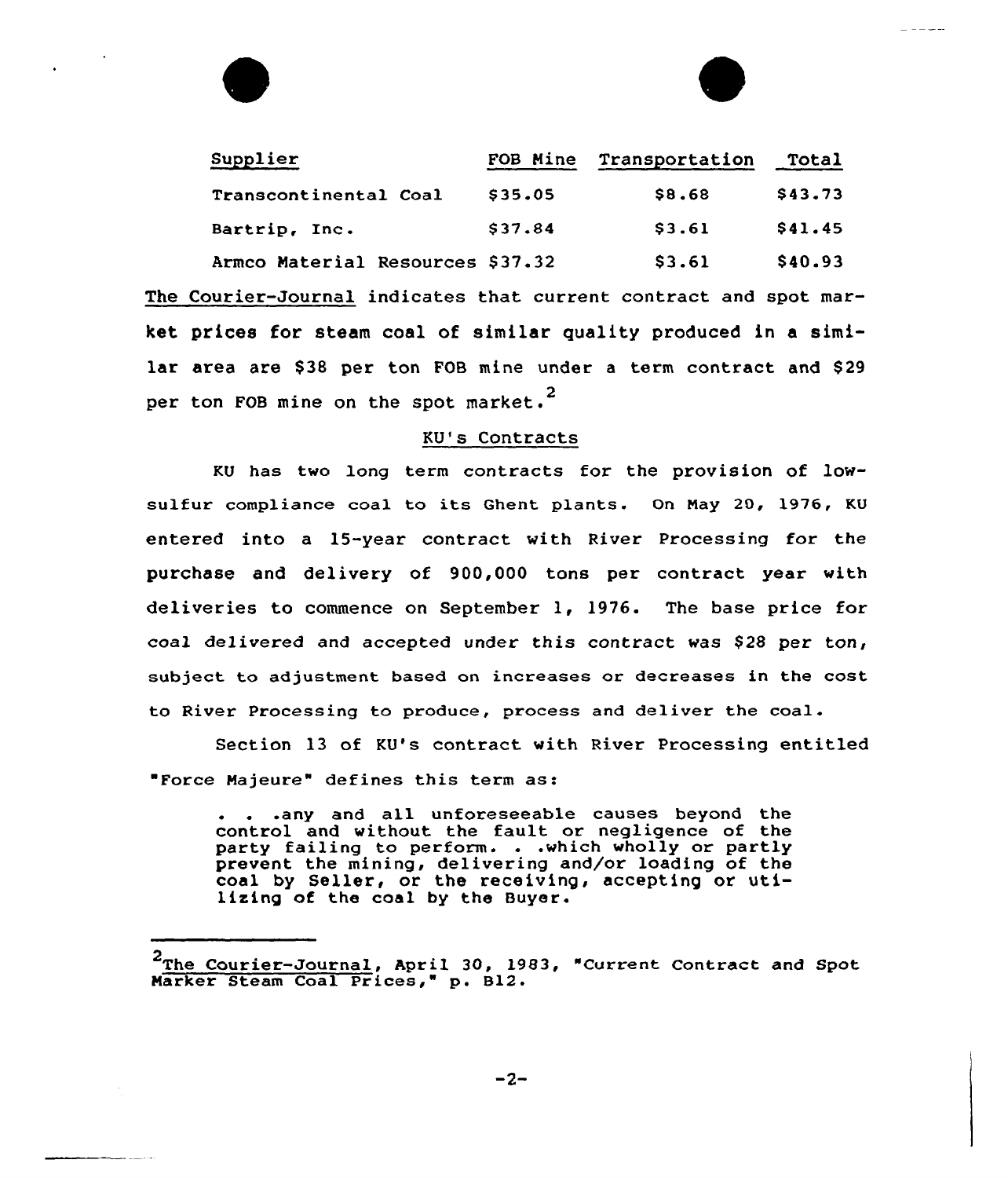| Supplier                         | FOB Mine | Transportation | Total   |
|----------------------------------|----------|----------------|---------|
| Transcontinental Coal            | \$35.05  | \$8.68         | \$43.73 |
| Bartrip, Inc.                    | \$37.84  | \$3.61         | \$41.45 |
| Armco Material Resources \$37.32 |          | \$3.61         | \$40.93 |

The Courier-Journal indicates that current contract and spot market prices for steam coal of similar quality produced in a similar area are \$38 per ton FOB mine under a term contract and \$29 per ton FOB mine on the spot market.<sup>2</sup>

## KU's Contracts

KU has two long term contracts for the provision of lowsulfur compliance coal to its Ghent plants. On May 20, 1976, KU entered into a 15-year contract with River Processing for the purchase and delivery of 900,000 tons per contract year with deliveries to commence on September 1, 1976. The base price for coal delivered and accepted under this contract was \$28 per ton, subject to adjustment based on increases or decreases in the cost to River Processing to produce, process and deliver the coal.

Section 13 of KU's contract with River Processing entitled Force Najeure" defines this term as:

. . .any and all unforeseeable causes beyond the control and without the fault or negligence of the party failing to perform. . .which wholly or partly party failing to perform. . .which wholly or partly<br>prevent the mining, delivering and/or loading of the coal by Seller, or the receiving, accepting or utilizing of the coal by the Buyer.

<sup>&</sup>lt;sup>2</sup>The Courier-Journal, April 30, 1983, "Current Contract and Spot Narker Steam Coal Prices," p. B12.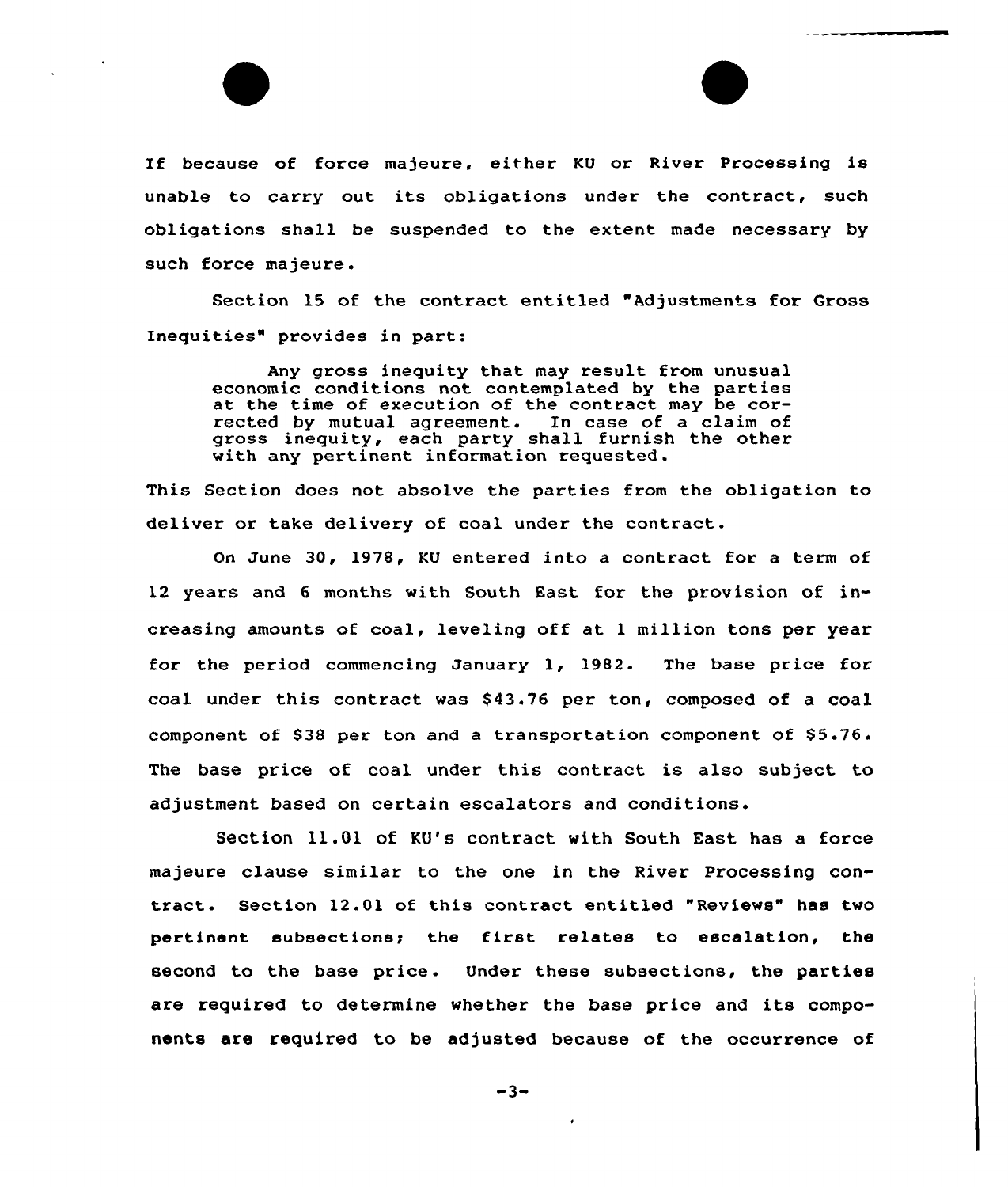If because of force majeure, either KU or River Processing is unable to carry out its obligations under the contract, such obligations shall be suspended to the extent made necessary by such force majeure.

Section 15 of the contract entitled "Adjustments for Gross Inequities" provides in part:

Any gross inequity that may result from unusual economic conditions not contemplated by the partie economic conditions not contemplated by the parties<br>at the time of execution of the contract may be corrected by mutual agreement. In case of a claim of gross inequity, each party shall furnish the other with any pertinent information requested.

This Section does not absolve the parties from the obligation to deliver or take delivery of coal under the contract.

On June 30, 1978, KU entered into a contract for a term of 12 years and 6 months with South East for the provision of increasing amounts of coal, leveling off at <sup>1</sup> million tons per year for the period commencing January 1, 1982. The base price for coal under this contract was 843.76 per ton, composed of a coal component of \$38 per ton and a transportation component of  $$5.76$ . The base price of coal under this contract is also subject to adjustment based on certain escalators and conditions.

Section 11.01 of KU's contract with South East has a force majeure clause similar to the one in the River Processing contract. Section 12.01 of this contract entitled "Reviews" has two pertinent subsections; the first relates to escalation, the second to the base price. Under these subsections, the parties are required to determine whether the base price and its components are required to be adjusted because of the occurrence of

 $-3-$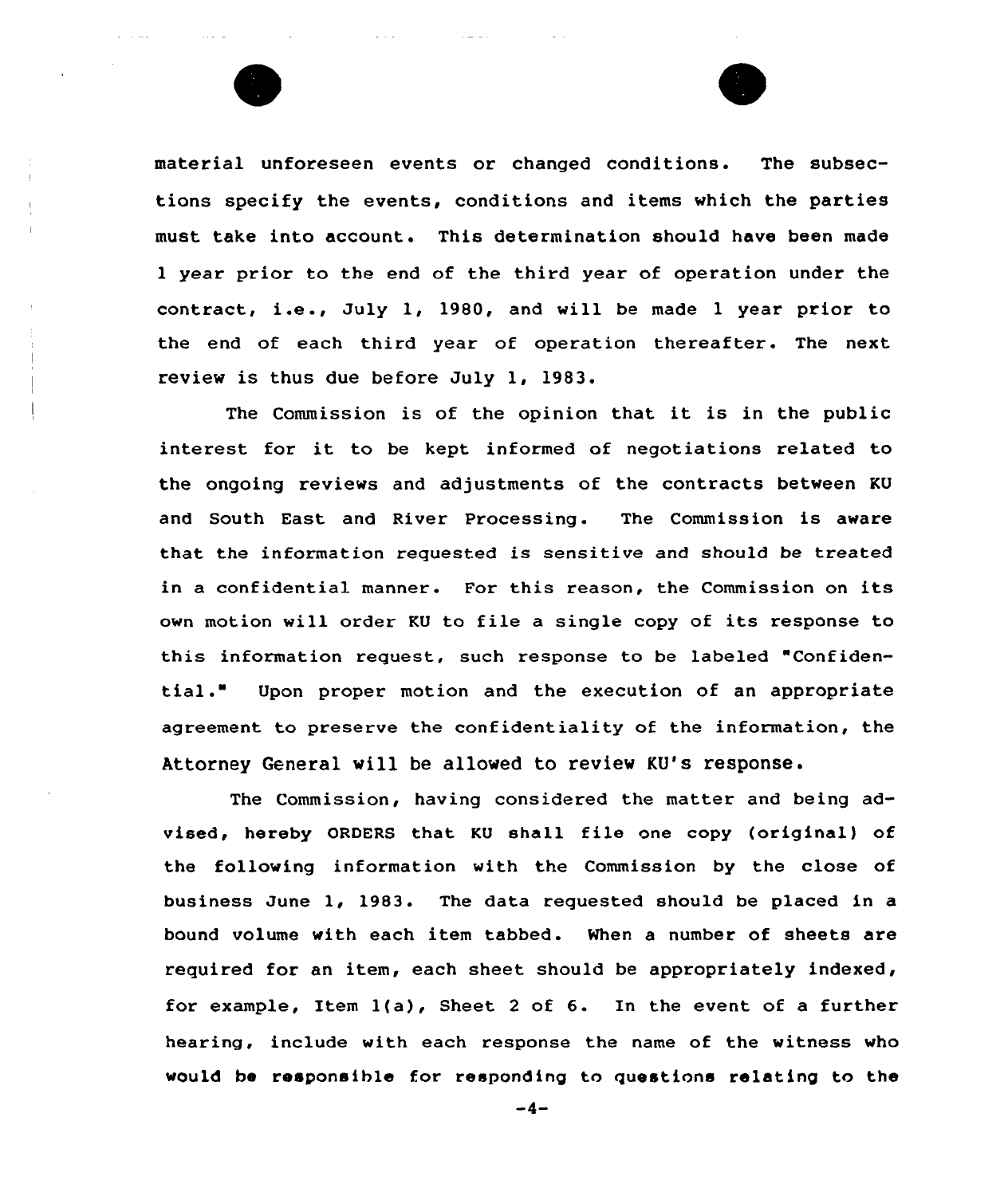

material unforeseen events or changed conditions. The subsections specify the events, conditions and items which the parties must take into account. This determination should have been made 1 year prior to the end of the third year of operation under the contract, i.e ., July 1, 1980, and will be made <sup>1</sup> year prior to the end of each third year of operation thereafter. The next review is thus due before July 1, 1983.

The Commission is of the opinion that it is in the public interest for it to be kept informed of negotiations related to the ongoing reviews and adjustments of the contracts between KU and South East and River Processing. The Commission is aware that the information requested is sensitive and should be treated in <sup>a</sup> confidential manner. For this reason, the Commission on its own motion will order KU to file a single copy of its response to this information request, such response to be labeled "Confidential." Upon proper motion and the execution of an appropriate agreement to preserve the confidentiality of the information, the Attorney General will be allowed to review KU's response.

The Commission, having considered the matter and being advised, hereby ORDERS that KU shall file one copy {original) of the following information with the Commission by the close of business June 1, 1983. The data requested should be placed in a bound volume with each item tabbed. When a number of sheets are required for an item, each sheet should be appropriately indexed, for example, Item 1{a), Sheet <sup>2</sup> of 6. In the event of <sup>a</sup> further hearing, include with each response the name of the witness who would be responsible for responding to questions relating to the

 $-4-$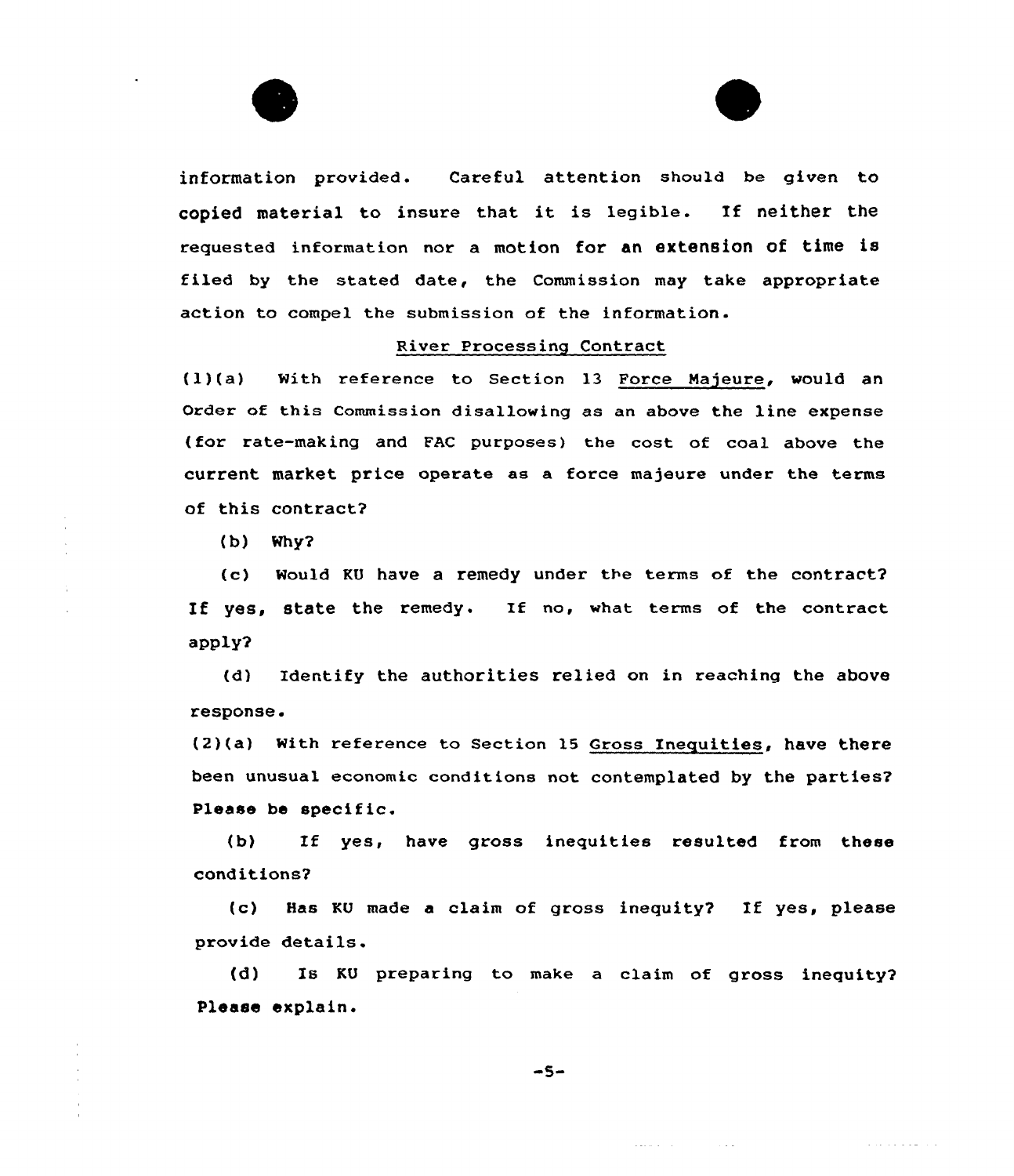



information provided. Careful attention should be given to copied material to insure that it is legible. If neither the requested information nor a motion for an extension of time is filed by the stated date, the Commission may take appropriate action to compel the submission of the information.

# River Processing Contract

(l)(a) With reference to Section 13 Force Majeure, would an Order of this commission disallowing as an above the line expense (for rate-making and FAC purposes) the cost of coal above the current market price operate as a force majeure under the terms of this contract2

(b) Why2

(c) Would KU have a remedy under the terms of the contract? If yes, state the remedy. If no, what terms of the contract apply2

(d) Identify the authorities relied on in reaching the above response.

(2)(a) With reference to Section 15 Gross Inequities, have there been unusual economic conditions not contemplated by the parties2 Please be specific.

(b) Ef yes, have gross inequities resulted from these conditions2

(c) Has KU made <sup>a</sup> claim of gross inequity2 If yes, please provide details.

(d) Is KU preparing to make a claim of gross inequity? Please explain.

 $\label{eq:2.1} \frac{1}{2} \left( \frac{1}{2} \sum_{i=1}^n \frac{1}{2} \left( \frac{1}{2} \sum_{i=1}^n \frac{1}{2} \left( \frac{1}{2} \sum_{i=1}^n \frac{1}{2} \right) \right) \right)^2 \left( \frac{1}{2} \sum_{i=1}^n \frac{1}{2} \sum_{i=1}^n \frac{1}{2} \sum_{i=1}^n \frac{1}{2} \sum_{i=1}^n \frac{1}{2} \sum_{i=1}^n \frac{1}{2} \sum_{i=1}^n \frac{1}{2} \sum_{i=1}^n \$ 

a la sua della car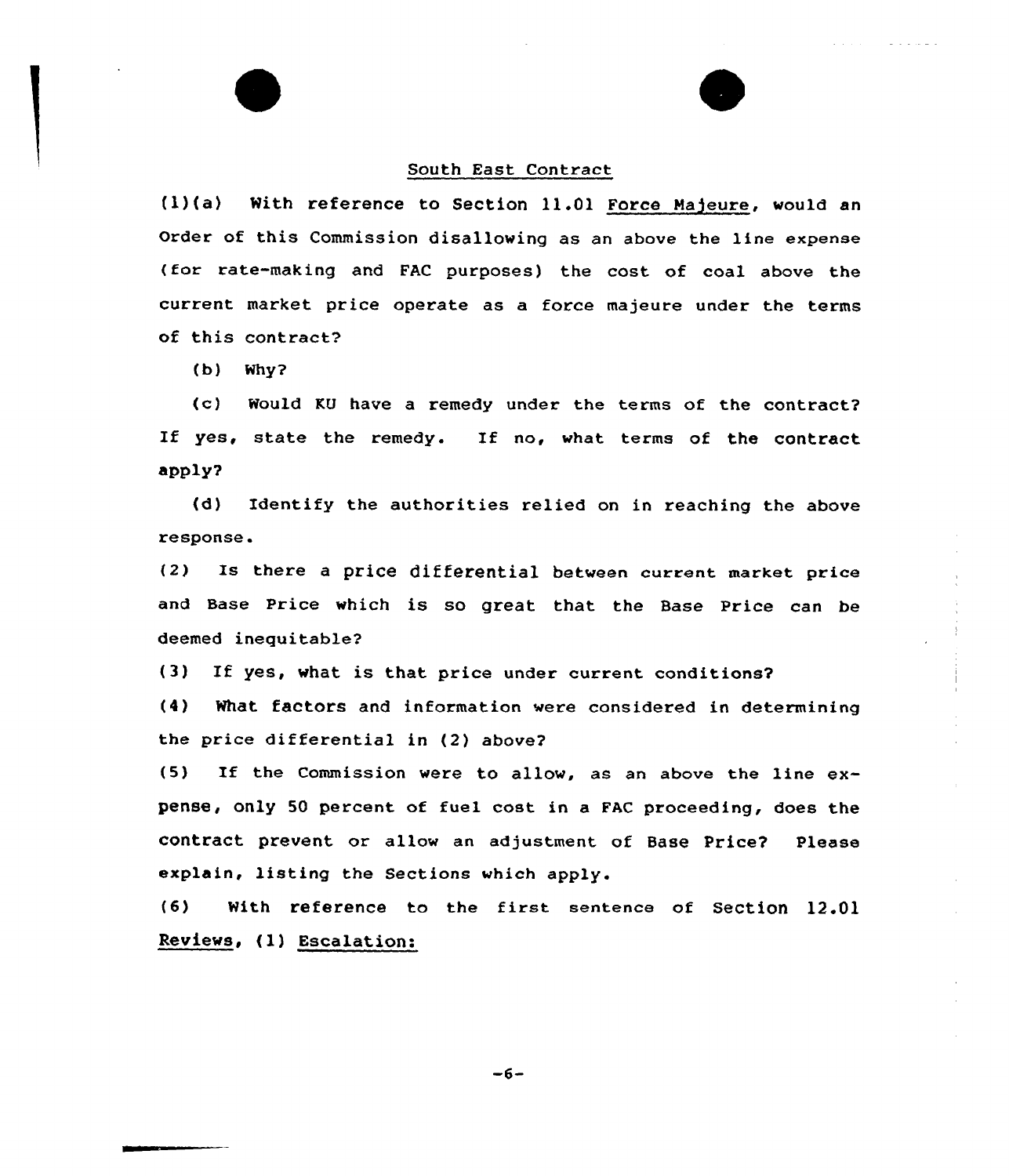#### South East Contract

(l)(a) With reference to Section 11.01 Force Majeure, would an Order of this Commission disallowing as an above the line expense (for rate-making and FAC purposes) the cost of coal above the current market price operate as a force majeure under the terms of this contract?

(b) Why?

(c) Would KU have a remedy under the terms of the contract? If yes, state the remedy. If no, what terms of the contract apply?

(d) Identify the authorities relied on in reaching the abave respanse.

(2) Is there <sup>a</sup> price differential between current market price and Base Price which is so great that the Base Price can be deemed inequitable?

(3) If yes, what is that price under current conditions?

(4) What factors and information were considered in determining the price differential in (2) abave?

(5) If the Commission were to allow, as an above the line  $ex$ pense, only 50 percent of fuel cost in a FAC proceeding, does the contract prevent or allaw an adjustment of Base Price? Please explain, listing the Sections which apply.

(6) With reference to the first sentence of Section 12.01 Reviews, (l) Escalation:

 $-6-$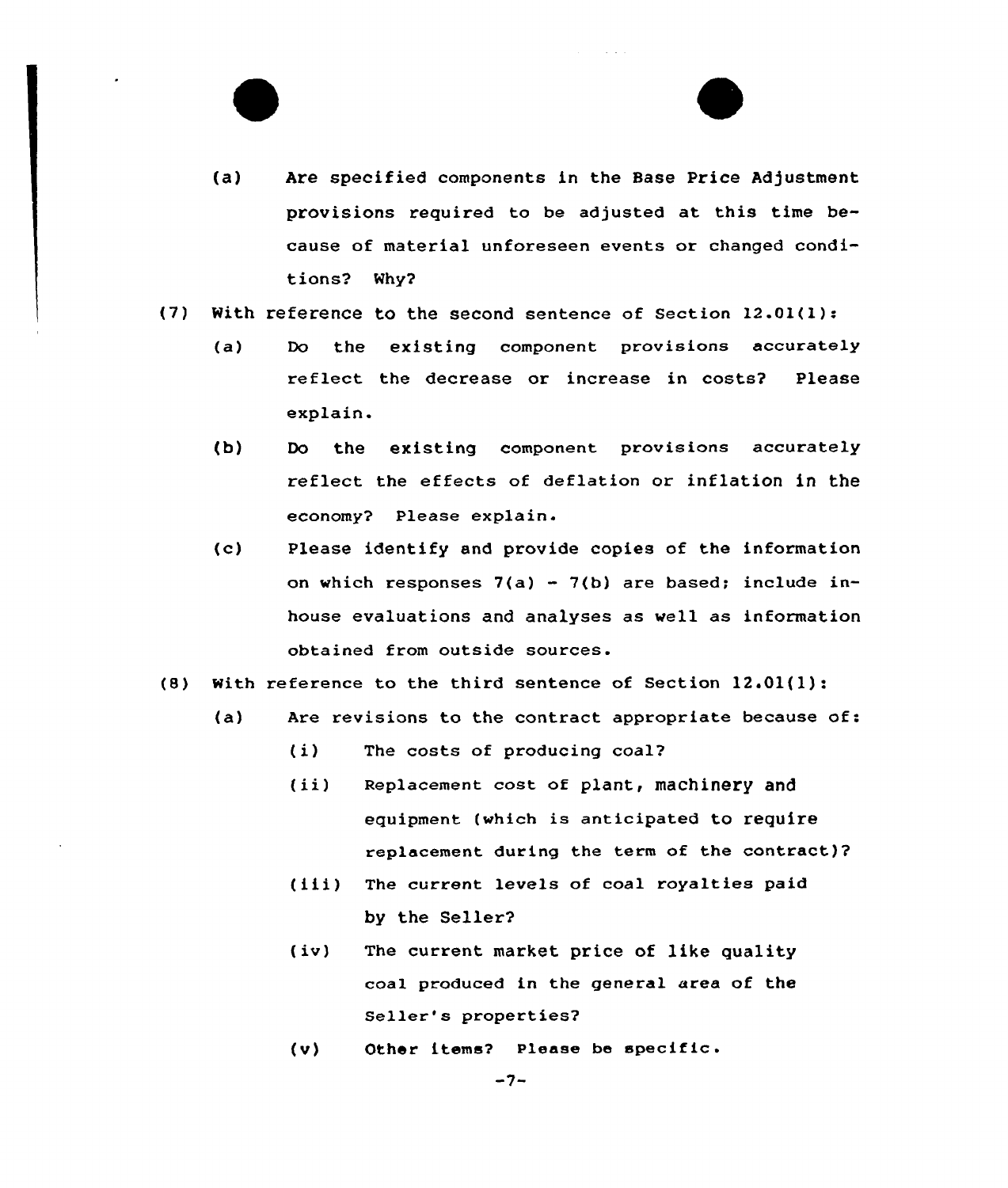- (a) Are specified components in the Base Price Adjustment provisions required to be adjusted at this time because of material unforeseen events or changed conditions? Why2
- (7) With reference to the second sentence of Section 12.01(l):
	- (a) Do the existing component provisions accurately reflect the decrease or increase in costs2 Please explain.
	- (b) Do the existing component provisions accurately reflect the effects of deflation or inflation in the economy? Please explain.
	- (c) Please identify and provide copies of the information on which responses  $7(a) - 7(b)$  are based; include inhouse evaluations and analyses as well as information obtained from outside sources.
- (8) With reference to the third sentence of Section 12.01{1):
	- (a) Are revisions to the contract appropriate because of:
		- (i) The costs of producing coal?
		- (ii) Replacement cost of plant, machinery and equipment (which is anticipated to require replacement during the term of the contract)?
		- (iii) The current levels of coal royalties paid by the Seller?
		- (iv) The current market price of like quality coal produced in the general area of the Seller's properties?
		- (V) Other items? Please be specific .

 $-7-$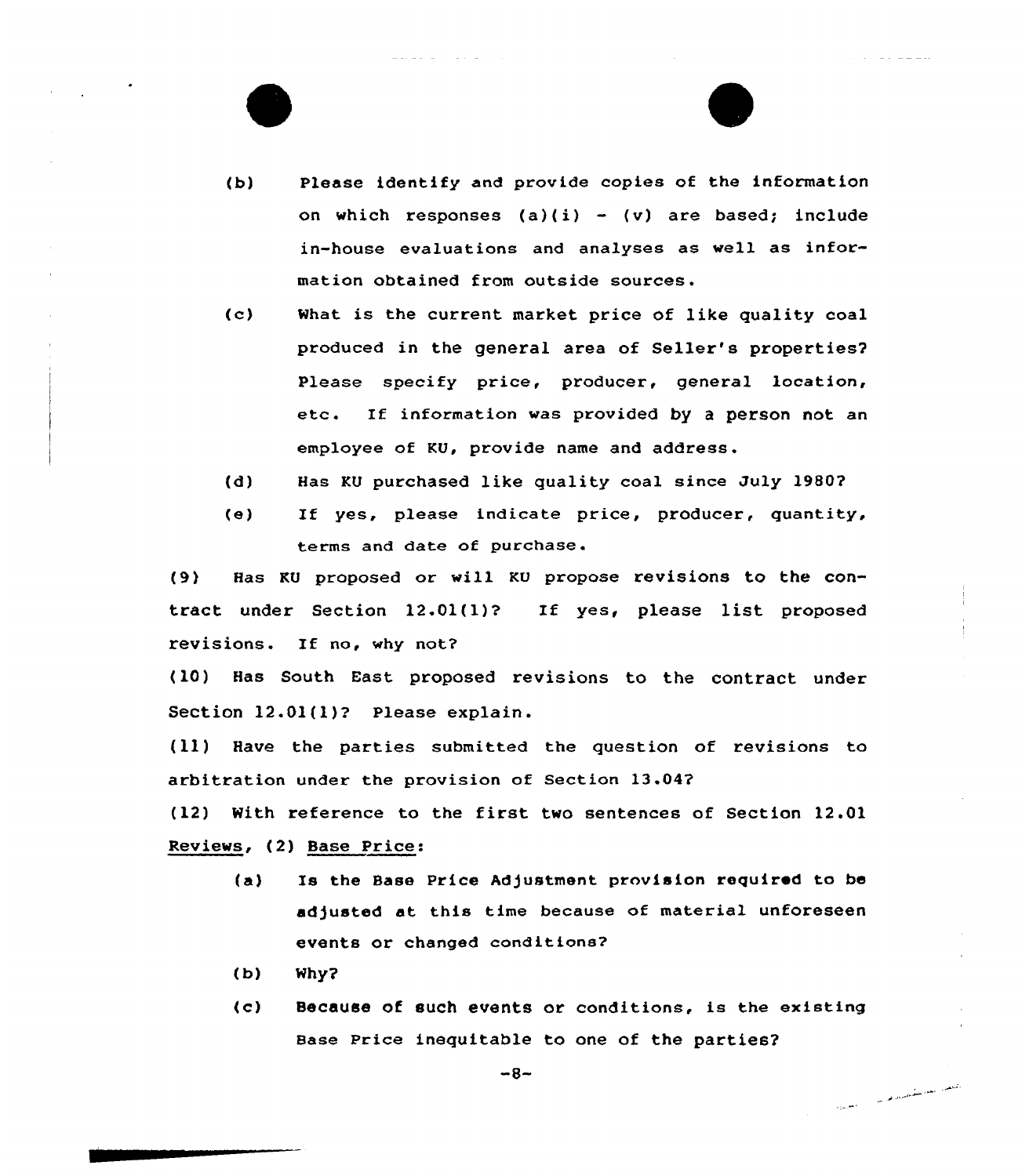- (b) Please identify and provide copies of the information on which responses  $(a)(i) - (v)$  are based; include in-house evaluations and analyses as well as information obtained from outside
- $(c)$ What is the current market price of like quality coal produced in the general area of Seller's properties2 Please specify price, producer, general location, etc. If information was provided by <sup>a</sup> person not an employee of KU, provide name and address.
- (d) Has KU purchased like quality coal since July 19802
- (e) If yes, please indicate price, producer, quantity, terms and date of purchase.

(9) Has KU proposed or will KU propose revisions to the contract under Section 12.01(1)? If yes, please list proposed revisions. If no, why not?

(10) Has South East proposed revisions to the contract under Section 12.01(1)? Please explain.

(11) Have the parties submitted the question of revisions to arbitration under the provision of Section 13.042

(12) With reference to the first two sentences of Section 12.01 Reviews, (2) Base Price:

- (a) Is the Base Price Adjustment provision required to be adjusted at this time because of material unforeseen events or changed conditions?
- (b) Nhy2
- (c) Because of such events or conditions, is the existing Base price inequitable to one of the parties2

المحلف العلم سقمتهم وهديد

 $-8-$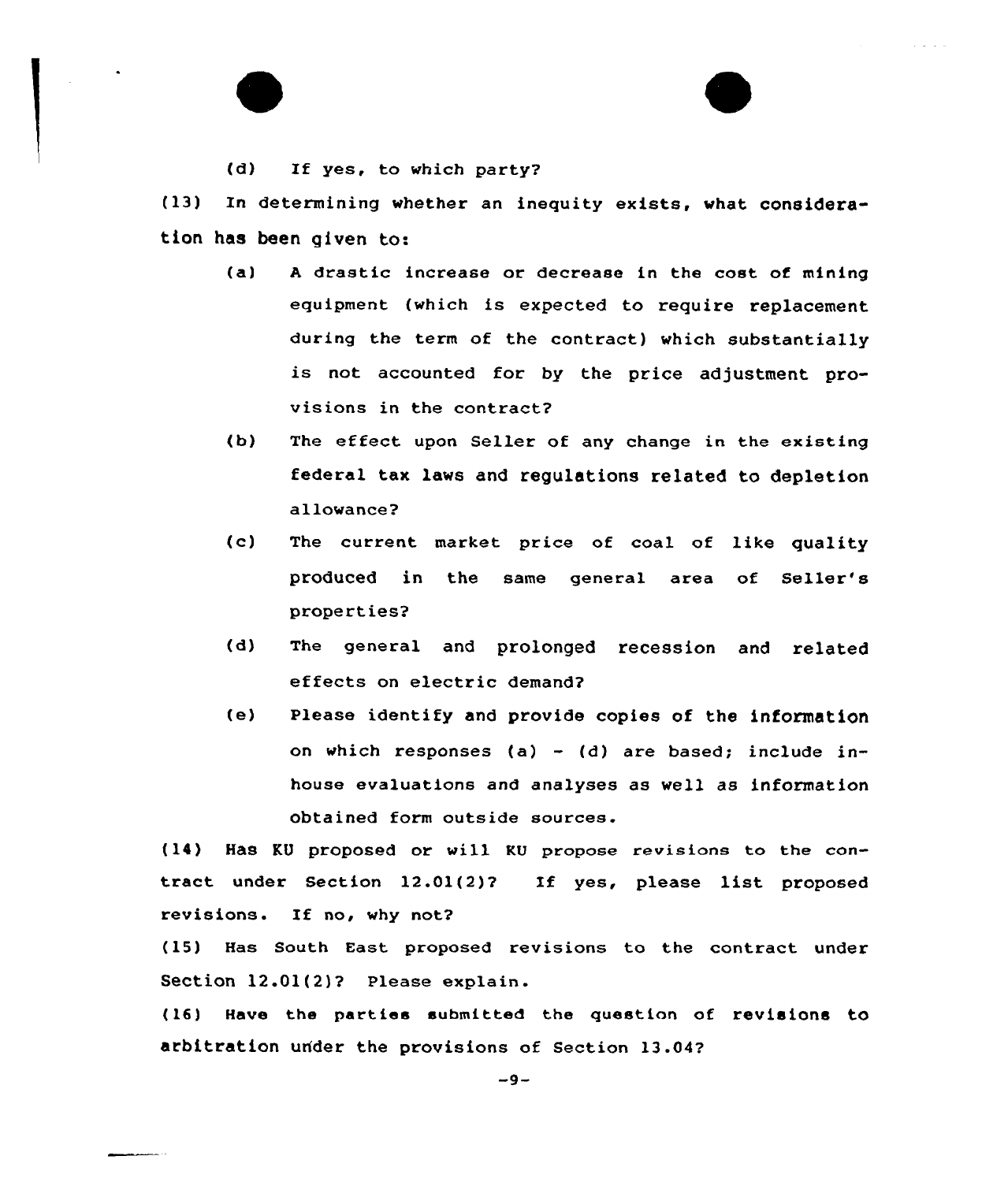(d) If yes, to which party?

(13) In determining whether an inequity exists, what consideration has been given to:

(a) <sup>A</sup> drastic increase or decrease in the cost of mining equipment (which is expected to require replacement during the term of the contract) which substantially is not accounted for by the price adjustment provisions in the contract?

and the con-

- (b) The effect upon Seller of any change in the existing federal tax laws and regulations related to depletion allowance?
- (c) The current market price of coal of like quality produced in the same general area of Seller' properties?
- (d) The general and prolonged recession and related effects on electric demand?
- (e) Please identify and provide copies of the information on which responses (a) - (d) are based; include inhouse evaluations and analyses as well as information obtained form outside sources.

(14) Has KU proposed or will KU propose revisions to the contract under Section 12.01(2)? Xf yes, please list proposed revisions. If no, why not?

(15) Has South East proposed revisions to the contract under Section 12.01(2)? Please explain.

(16) Have the parties submitted the question of revisions tO arbitration under the provisions of Section 13.04?

 $-9-$ 

. . . . . . . . .